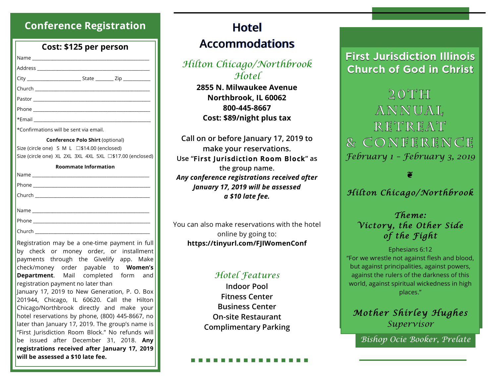# **Conference Registration**

|                                                                             | Cost: \$125 per person           |  |
|-----------------------------------------------------------------------------|----------------------------------|--|
|                                                                             |                                  |  |
|                                                                             |                                  |  |
|                                                                             |                                  |  |
|                                                                             |                                  |  |
|                                                                             |                                  |  |
|                                                                             |                                  |  |
|                                                                             |                                  |  |
| *Confirmations will be sent via email.                                      |                                  |  |
|                                                                             | Conference Polo Shirt (optional) |  |
| Size (circle one) S M L □\$14.00 (enclosed)                                 |                                  |  |
| Size (circle one) XL 2XL 3XL 4XL 5XL □\$17.00 (enclosed)                    |                                  |  |
|                                                                             | <b>Roommate Information</b>      |  |
|                                                                             |                                  |  |
|                                                                             |                                  |  |
|                                                                             |                                  |  |
|                                                                             |                                  |  |
|                                                                             |                                  |  |
|                                                                             |                                  |  |
|                                                                             |                                  |  |
| Registration may be a one-time payment in full                              |                                  |  |
| by check or money order, or installment                                     |                                  |  |
| payments through the Givelify app. Make                                     |                                  |  |
| check/money order payable to Women's<br>Department. Mail completed form and |                                  |  |
|                                                                             |                                  |  |

January 17, 2019 to New Generation, P. O. Box 201944, Chicago, IL 60620. Call the Hilton Chicago/Northbrook directly and make your hotel reservations by phone, (800) 445-8667, no later than January 17, 2019. The group's name is "First Jurisdiction Room Block." No refunds will be issued after December 31, 2018. **Any registrations received after January 17, 2019 will be assessed a \$10 late fee.**

# **Hotel Accommodations**

# *Hilton Chicago/Northbrook Hotel*

**2855 N. Milwaukee Avenue Northbrook, IL 60062 800-445-8667 Cost: \$89/night plus tax**

**Call on or before January 17, 2019 to make your reservations. Use "First Jurisdiction Room Block" as the group name.** *Any conference registrations received after January 17, 2019 will be assessed a \$10 late fee.*

You can also make reservations with the hotel online by going to: **https://tinyurl.com/FJIWomenConf**

# *Hotel Features*

**Indoor Pool Fitness Center Business Center On-site Restaurant Complimentary Parking**

# **First Jurisdiction Illinois Church of God in Christ**

 $20TH$ ANNUAL RETREAT & CONFERENCE *February 1 – February 3, 2019*

### ❦

### *Hilton Chicago/Northbrook*

*Theme: Victory, the Other Side of the Fight* 

#### Ephesians 6:12

"For we wrestle not against flesh and blood, but against principalities, against powers, against the rulers of the darkness of this world, against spiritual wickedness in high places."

# *Mother Shirley Hughes Supervisor*

*Bishop Ocie Booker, Prelate*